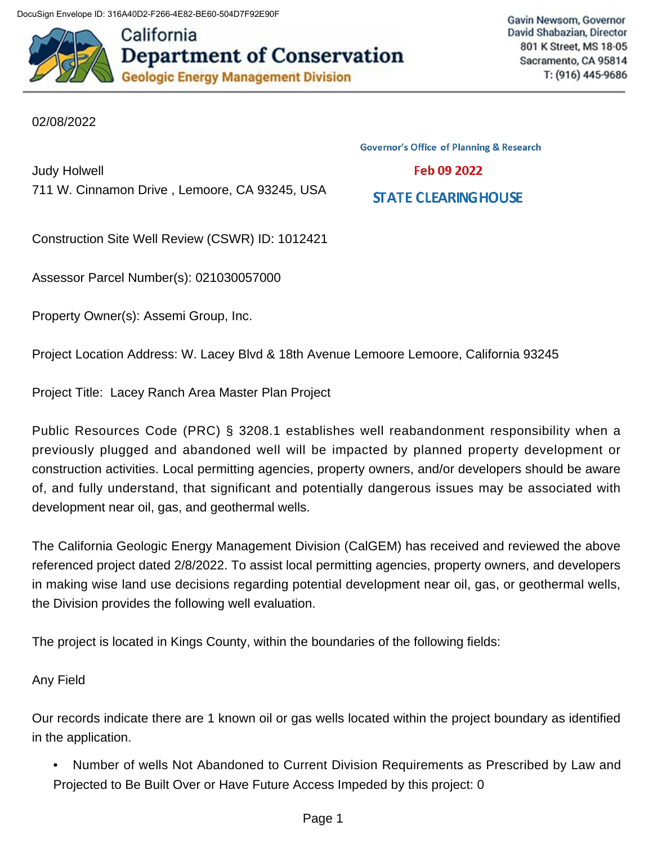DocuSign Envelope ID: 316A40D2-F266-4E82-BE60-504D7F92E90F



California **Department of Conservation Geologic Energy Management Division** 

## 02/08/2022

Judy Holwell 711 W. Cinnamon Drive , Lemoore, CA 93245, USA **Governor's Office of Planning & Research** 

Feb 09 2022

## **STATE CLEARING HOUSE**

Construction Site Well Review (CSWR) ID: 1012421

Assessor Parcel Number(s): 021030057000

Property Owner(s): Assemi Group, Inc.

Project Location Address: W. Lacey Blvd & 18th Avenue Lemoore Lemoore, California 93245

Project Title: Lacey Ranch Area Master Plan Project

Public Resources Code (PRC) § 3208.1 establishes well reabandonment responsibility when a previously plugged and abandoned well will be impacted by planned property development or construction activities. Local permitting agencies, property owners, and/or developers should be aware of, and fully understand, that significant and potentially dangerous issues may be associated with development near oil, gas, and geothermal wells.

The California Geologic Energy Management Division (CalGEM) has received and reviewed the above referenced project dated 2/8/2022. To assist local permitting agencies, property owners, and developers in making wise land use decisions regarding potential development near oil, gas, or geothermal wells, the Division provides the following well evaluation.

The project is located in Kings County, within the boundaries of the following fields:

Any Field

Our records indicate there are 1 known oil or gas wells located within the project boundary as identified in the application.

• Number of wells Not Abandoned to Current Division Requirements as Prescribed by Law and Projected to Be Built Over or Have Future Access Impeded by this project: 0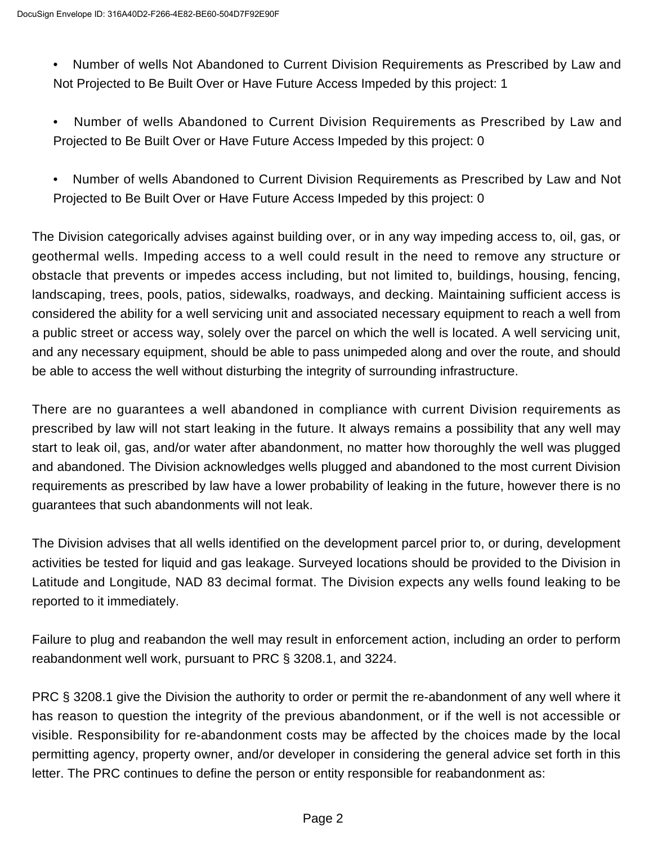• Number of wells Not Abandoned to Current Division Requirements as Prescribed by Law and Not Projected to Be Built Over or Have Future Access Impeded by this project: 1

- Number of wells Abandoned to Current Division Requirements as Prescribed by Law and Projected to Be Built Over or Have Future Access Impeded by this project: 0
- Number of wells Abandoned to Current Division Requirements as Prescribed by Law and Not Projected to Be Built Over or Have Future Access Impeded by this project: 0

The Division categorically advises against building over, or in any way impeding access to, oil, gas, or geothermal wells. Impeding access to a well could result in the need to remove any structure or obstacle that prevents or impedes access including, but not limited to, buildings, housing, fencing, landscaping, trees, pools, patios, sidewalks, roadways, and decking. Maintaining sufficient access is considered the ability for a well servicing unit and associated necessary equipment to reach a well from a public street or access way, solely over the parcel on which the well is located. A well servicing unit, and any necessary equipment, should be able to pass unimpeded along and over the route, and should be able to access the well without disturbing the integrity of surrounding infrastructure.

There are no guarantees a well abandoned in compliance with current Division requirements as prescribed by law will not start leaking in the future. It always remains a possibility that any well may start to leak oil, gas, and/or water after abandonment, no matter how thoroughly the well was plugged and abandoned. The Division acknowledges wells plugged and abandoned to the most current Division requirements as prescribed by law have a lower probability of leaking in the future, however there is no guarantees that such abandonments will not leak.

The Division advises that all wells identified on the development parcel prior to, or during, development activities be tested for liquid and gas leakage. Surveyed locations should be provided to the Division in Latitude and Longitude, NAD 83 decimal format. The Division expects any wells found leaking to be reported to it immediately.

Failure to plug and reabandon the well may result in enforcement action, including an order to perform reabandonment well work, pursuant to PRC § 3208.1, and 3224.

PRC § 3208.1 give the Division the authority to order or permit the re-abandonment of any well where it has reason to question the integrity of the previous abandonment, or if the well is not accessible or visible. Responsibility for re-abandonment costs may be affected by the choices made by the local permitting agency, property owner, and/or developer in considering the general advice set forth in this letter. The PRC continues to define the person or entity responsible for reabandonment as: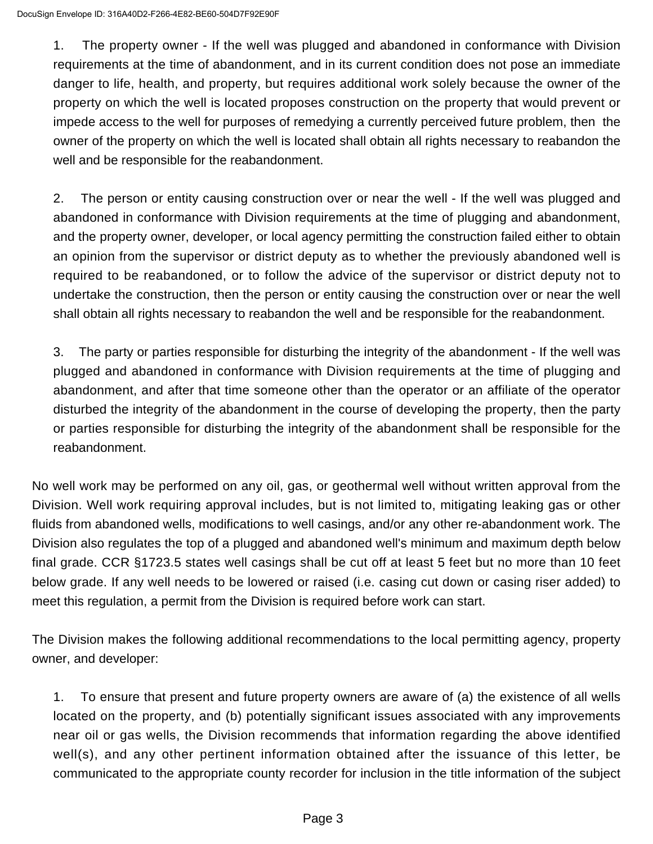1. The property owner - If the well was plugged and abandoned in conformance with Division requirements at the time of abandonment, and in its current condition does not pose an immediate danger to life, health, and property, but requires additional work solely because the owner of the property on which the well is located proposes construction on the property that would prevent or impede access to the well for purposes of remedying a currently perceived future problem, then the owner of the property on which the well is located shall obtain all rights necessary to reabandon the well and be responsible for the reabandonment.

2. The person or entity causing construction over or near the well - If the well was plugged and abandoned in conformance with Division requirements at the time of plugging and abandonment, and the property owner, developer, or local agency permitting the construction failed either to obtain an opinion from the supervisor or district deputy as to whether the previously abandoned well is required to be reabandoned, or to follow the advice of the supervisor or district deputy not to undertake the construction, then the person or entity causing the construction over or near the well shall obtain all rights necessary to reabandon the well and be responsible for the reabandonment.

3. The party or parties responsible for disturbing the integrity of the abandonment - If the well was plugged and abandoned in conformance with Division requirements at the time of plugging and abandonment, and after that time someone other than the operator or an affiliate of the operator disturbed the integrity of the abandonment in the course of developing the property, then the party or parties responsible for disturbing the integrity of the abandonment shall be responsible for the reabandonment.

No well work may be performed on any oil, gas, or geothermal well without written approval from the Division. Well work requiring approval includes, but is not limited to, mitigating leaking gas or other fluids from abandoned wells, modifications to well casings, and/or any other re-abandonment work. The Division also regulates the top of a plugged and abandoned well's minimum and maximum depth below final grade. CCR §1723.5 states well casings shall be cut off at least 5 feet but no more than 10 feet below grade. If any well needs to be lowered or raised (i.e. casing cut down or casing riser added) to meet this regulation, a permit from the Division is required before work can start.

The Division makes the following additional recommendations to the local permitting agency, property owner, and developer:

1. To ensure that present and future property owners are aware of (a) the existence of all wells located on the property, and (b) potentially significant issues associated with any improvements near oil or gas wells, the Division recommends that information regarding the above identified well(s), and any other pertinent information obtained after the issuance of this letter, be communicated to the appropriate county recorder for inclusion in the title information of the subject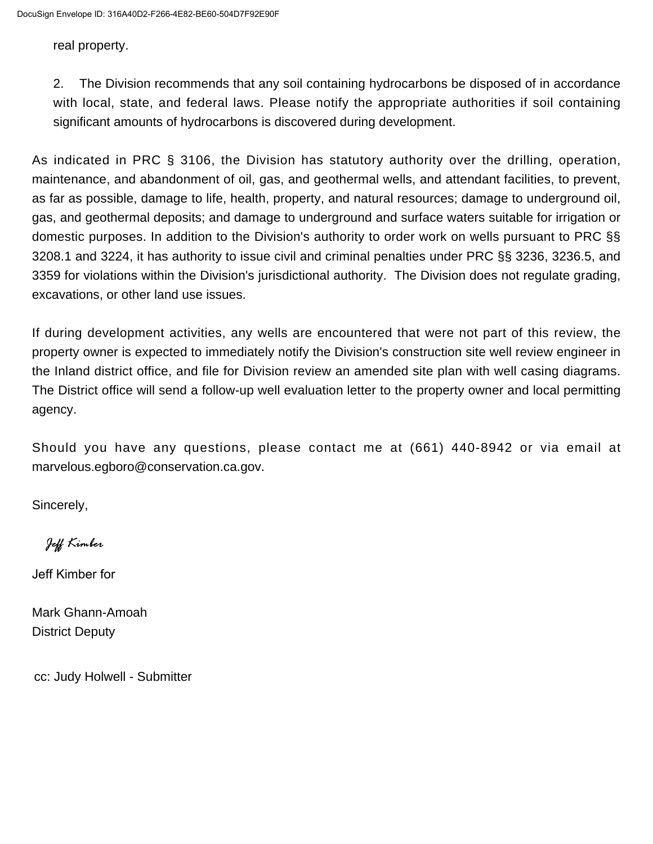real property.

2. The Division recommends that any soil containing hydrocarbons be disposed of in accordance with local, state, and federal laws. Please notify the appropriate authorities if soil containing significant amounts of hydrocarbons is discovered during development.

As indicated in PRC § 3106, the Division has statutory authority over the drilling, operation, maintenance, and abandonment of oil, gas, and geothermal wells, and attendant facilities, to prevent, as far as possible, damage to life, health, property, and natural resources; damage to underground oil, gas, and geothermal deposits; and damage to underground and surface waters suitable for irrigation or domestic purposes. In addition to the Division's authority to order work on wells pursuant to PRC §§ 3208.1 and 3224, it has authority to issue civil and criminal penalties under PRC §§ 3236, 3236.5, and 3359 for violations within the Division's jurisdictional authority. The Division does not regulate grading, excavations, or other land use issues.

If during development activities, any wells are encountered that were not part of this review, the property owner is expected to immediately notify the Division's construction site well review engineer in the Inland district office, and file for Division review an amended site plan with well casing diagrams. The District office will send a follow-up well evaluation letter to the property owner and local permitting agency.

Should you have any questions, please contact me at (661) 440-8942 or via email at marvelous.egboro@conservation.ca.gov.

Sincerely,

Jeff Kimber

Jeff Kimber for

Mark Ghann-Amoah District Deputy

cc: Judy Holwell - Submitter